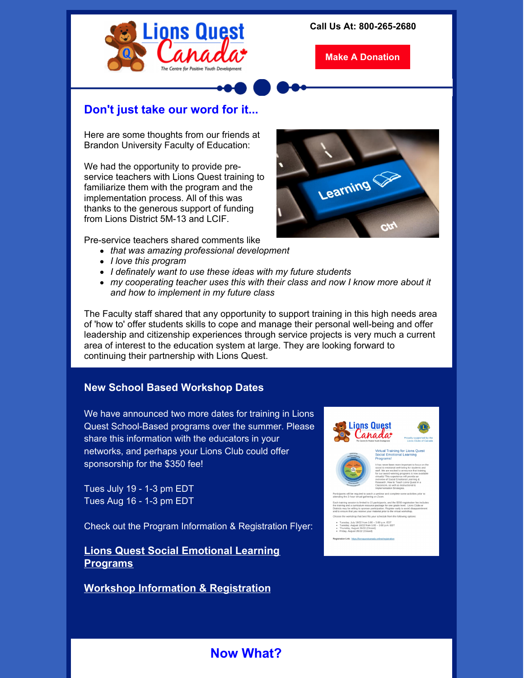

**Make A [Donation](https://www.lionsquest.ca/support-us/make-a-donation/)**

## **Don't just take our word for it...**

Here are some thoughts from our friends at Brandon University Faculty of Education:

We had the opportunity to provide preservice teachers with Lions Quest training to familiarize them with the program and the implementation process. All of this was thanks to the generous support of funding from Lions District 5M-13 and LCIF.

Pre-service teachers shared comments like

- *that was amazing professional development*
- *I love this program*
- *I definately want to use these ideas with my future students*
- *my cooperating teacher uses this with their class and now I know more about it and how to implement in my future class*

The Faculty staff shared that any opportunity to support training in this high needs area of 'how to' offer students skills to cope and manage their personal well-being and offer leadership and citizenship experiences through service projects is very much a current area of interest to the education system at large. They are looking forward to continuing their partnership with Lions Quest.

#### **New School Based Workshop Dates**

We have announced two more dates for training in Lions Quest School-Based programs over the summer. Please share this information with the educators in your networks, and perhaps your Lions Club could offer sponsorship for the \$350 fee!

Tues July 19 - 1-3 pm EDT Tues Aug 16 - 1-3 pm EDT

Check out the Program Information & Registration Flyer:

### **Lions Quest Social [Emotional](https://files.constantcontact.com/235136ea001/3c9c3cc5-2029-4429-8326-137e33b590db.pdf?rdr=true) Learning Programs**

**Workshop Information & [Registration](https://files.constantcontact.com/235136ea001/ce8189b3-d33b-4d01-9d3c-b07ef9ec6cb0.pdf?rdr=true)**







# **Now What?**